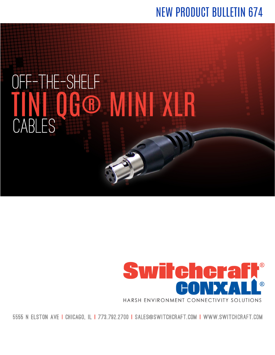## **NEW PRODUCT BULLETIN 674**





5555 N ELSTON AVE I CHICAGO. IL I 773.792.2700 I SALES@SWITCHCRAFT.COM I WWW.SWITCHCRAFT.COM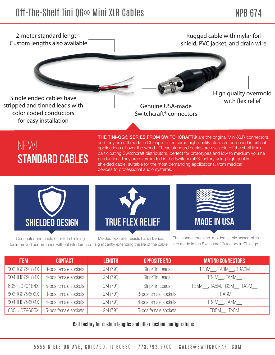

#### NEW! **standard cables**

THE TINI-QG® SERIES FROM SWITCHCRAFT® are the original Mini-XLR connectors, and they are still made in Chicago to the same high quality standard and used in critical applications all over the world. These standard cables are available off the shelf from participating Switchcraft distributors, perfect for prototypes and low to medium volume production. They are overmolded in the Switchcraft® factory using high quality shielded cable, suitable for the most demanding applications, from medical devices to professional audio systems.



Connector and cable offer full shielding for improved performance without interference



Molded flex relief resists harsh bends, significantly extending the life of the cable



The connectors and molded cable assemblies are made in the Switchcraft® factory in Chicago

| <b>ITEM</b>  | <b>CONTACT</b>       | <b>LENGTH</b> | <b>OPPOSITE END</b>  | <b>MATING CONNECTORS</b>                  |
|--------------|----------------------|---------------|----------------------|-------------------------------------------|
| 603HG079184X | 3-pos female sockets | 2M (79")      | Strip/Tin Leads      | TB3M <sub>,</sub> TA3M <sub>,</sub> TRA3M |
| 604HH079184X | 4-pos female sockets | 2M (79")      | Strip/Tin Leads      | TB4M, TA4M                                |
| 605HJ079184X | 5-pos female sockets | 2M (79")      | Strip/Tin Leads      | TB5M___, TA5M, TB3M___, TA3M___           |
| 603HG079603X | 3-pos female sockets | 2M (79")      | 3-pos female sockets | TRA3M                                     |
| 604HH079604X | 4-pos female sockets | 2M (79")      | 4-pos female sockets | TB4M, TA4M                                |
| 605HJ079605X | 5-pos female sockets | 2M (79")      | 5-pos female sockets | TB5M, TA5M                                |

Call factory for custom lengths and other custom configurations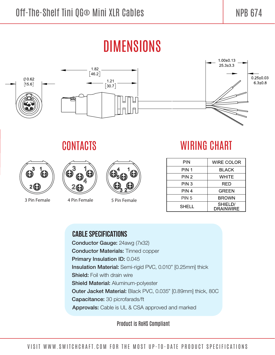## **DIMENSIONS**



#### CONTACTS



3 Pin Female



4 Pin Female



5 Pin Female

### **WIRING CHART**

| PIN              | <b>WIRE COLOR</b>           |
|------------------|-----------------------------|
| PIN 1            | BLACK                       |
| PIN 2            | WHITE                       |
| PIN 3            | RED                         |
| PIN 4            | <b>GREEN</b>                |
| PIN <sub>5</sub> | BROWN                       |
| <b>SHELL</b>     | SHIELD/<br><b>DRAINWIRE</b> |

#### **CABLE SPECIFICATIONS**

Conductor Gauge: 24awg (7x32) **Conductor Materials: Tinned copper** Primary Insulation ID: 0.045 Insulation Material: Semi-rigid PVC, 0.010" [0.25mm] thick **Shield:** Foil with drain wire **Shield Material: Aluminum-polyester** Outer Jacket Material: Black PVC, 0.035" [0.89mm] thick, 80C Capacitance: 30 picrofarads/ft Approvals: Cable is UL & CSA approved and marked

**Product is RoHS Compliant**